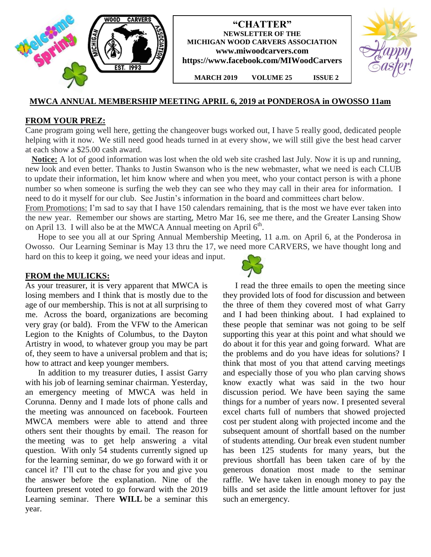

# **MWCA ANNUAL MEMBERSHIP MEETING APRIL 6, 2019 at PONDEROSA in OWOSSO 11am**

## **FROM YOUR PREZ:**

Cane program going well here, getting the changeover bugs worked out, I have 5 really good, dedicated people helping with it now. We still need good heads turned in at every show, we will still give the best head carver at each show a \$25.00 cash award.

 **Notice:** A lot of good information was lost when the old web site crashed last July. Now it is up and running, new look and even better. Thanks to Justin Swanson who is the new webmaster, what we need is each CLUB to update their information, let him know where and when you meet, who your contact person is with a phone number so when someone is surfing the web they can see who they may call in their area for information. I need to do it myself for our club. See Justin's information in the board and committees chart below.

From Promotions: I'm sad to say that I have 150 calendars remaining, that is the most we have ever taken into the new year. Remember our shows are starting, Metro Mar 16, see me there, and the Greater Lansing Show on April 13. I will also be at the MWCA Annual meeting on April  $6<sup>th</sup>$ .

 Hope to see you all at our Spring Annual Membership Meeting, 11 a.m. on April 6, at the Ponderosa in Owosso. Our Learning Seminar is May 13 thru the 17, we need more CARVERS, we have thought long and hard on this to keep it going, we need your ideas and input.

### **FROM the MULICKS:**

As your treasurer, it is very apparent that MWCA is losing members and I think that is mostly due to the age of our membership. This is not at all surprising to me. Across the board, organizations are becoming very gray (or bald). From the VFW to the American Legion to the Knights of Columbus, to the Dayton Artistry in wood, to whatever group you may be part of, they seem to have a universal problem and that is; how to attract and keep younger members.

 In addition to my treasurer duties, I assist Garry with his job of learning seminar chairman. Yesterday, an emergency meeting of MWCA was held in Corunna. Denny and I made lots of phone calls and the meeting was announced on facebook. Fourteen MWCA members were able to attend and three others sent their thoughts by email. The reason for the meeting was to get help answering a vital question. With only 54 students currently signed up for the learning seminar, do we go forward with it or cancel it? I'll cut to the chase for you and give you the answer before the explanation. Nine of the fourteen present voted to go forward with the 2019 Learning seminar. There **WILL** be a seminar this year.



I read the three emails to open the meeting since they provided lots of food for discussion and between the three of them they covered most of what Garry and I had been thinking about. I had explained to these people that seminar was not going to be self supporting this year at this point and what should we do about it for this year and going forward. What are the problems and do you have ideas for solutions? I think that most of you that attend carving meetings and especially those of you who plan carving shows know exactly what was said in the two hour discussion period. We have been saying the same things for a number of years now. I presented several excel charts full of numbers that showed projected cost per student along with projected income and the subsequent amount of shortfall based on the number of students attending. Our break even student number has been 125 students for many years, but the previous shortfall has been taken care of by the generous donation most made to the seminar raffle. We have taken in enough money to pay the bills and set aside the little amount leftover for just such an emergency.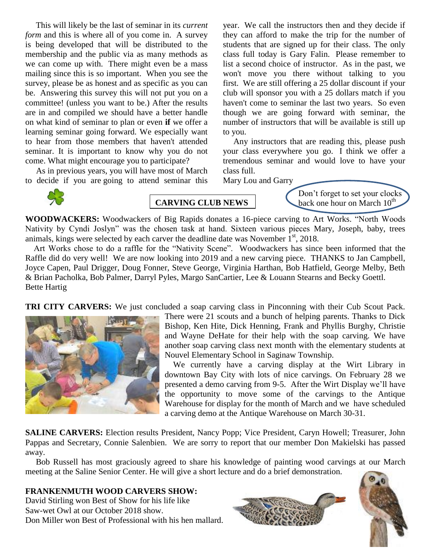This will likely be the last of seminar in its *current form* and this is where all of you come in. A survey is being developed that will be distributed to the membership and the public via as many methods as we can come up with. There might even be a mass mailing since this is so important. When you see the survey, please be as honest and as specific as you can be. Answering this survey this will not put you on a committee! (unless you want to be.) After the results are in and compiled we should have a better handle on what kind of seminar to plan or even **if** we offer a learning seminar going forward. We especially want to hear from those members that haven't attended seminar. It is important to know why you do not come. What might encourage you to participate?

As in previous years, you will have most of March to decide if you are going to attend seminar this

year. We call the instructors then and they decide if they can afford to make the trip for the number of students that are signed up for their class. The only class full today is Gary Falin. Please remember to list a second choice of instructor. As in the past, we won't move you there without talking to you first. We are still offering a 25 dollar discount if your club will sponsor you with a 25 dollars match if you haven't come to seminar the last two years. So even though we are going forward with seminar, the number of instructors that will be available is still up to you.

Any instructors that are reading this, please push your class everywhere you go. I think we offer a tremendous seminar and would love to have your class full.

Mary Lou and Garry



**CARVING CLUB NEWS**

Don't forget to set your clocks back one hour on March  $10<sup>th</sup>$ 

**WOODWACKERS:** Woodwackers of Big Rapids donates a 16-piece carving to Art Works. "North Woods Nativity by Cyndi Joslyn" was the chosen task at hand. Sixteen various pieces Mary, Joseph, baby, trees animals, kings were selected by each carver the deadline date was November  $1<sup>st</sup>$ , 2018.

 Art Works chose to do a raffle for the "Nativity Scene". Woodwackers has since been informed that the Raffle did do very well! We are now looking into 2019 and a new carving piece. THANKS to Jan Campbell, Joyce Capen, Paul Drigger, Doug Fonner, Steve George, Virginia Harthan, Bob Hatfield, George Melby, Beth & Brian Pacholka, Bob Palmer, Darryl Pyles, Margo SanCartier, Lee & Louann Stearns and Becky Goettl. Bette Hartig

**TRI CITY CARVERS:** We just concluded a soap carving class in Pinconning with their Cub Scout Pack.



There were 21 scouts and a bunch of helping parents. Thanks to Dick Bishop, Ken Hite, Dick Henning, Frank and Phyllis Burghy, Christie and Wayne DeHate for their help with the soap carving. We have another soap carving class next month with the elementary students at Nouvel Elementary School in Saginaw Township.

 We currently have a carving display at the Wirt Library in downtown Bay City with lots of nice carvings. On February 28 we presented a demo carving from 9-5. After the Wirt Display we'll have the opportunity to move some of the carvings to the Antique Warehouse for display for the month of March and we have scheduled a carving demo at the Antique Warehouse on March 30-31.

**SALINE CARVERS:** Election results President, Nancy Popp; Vice President, Caryn Howell; Treasurer, John Pappas and Secretary, Connie Salenbien. We are sorry to report that our member Don Makielski has passed away.

 Bob Russell has most graciously agreed to share his knowledge of painting wood carvings at our March meeting at the Saline Senior Center. He will give a short lecture and do a brief demonstration.

# **FRANKENMUTH WOOD CARVERS SHOW:**

David Stirling won Best of Show for his life like Saw-wet Owl at our October 2018 show. Don Miller won Best of Professional with his hen mallard.



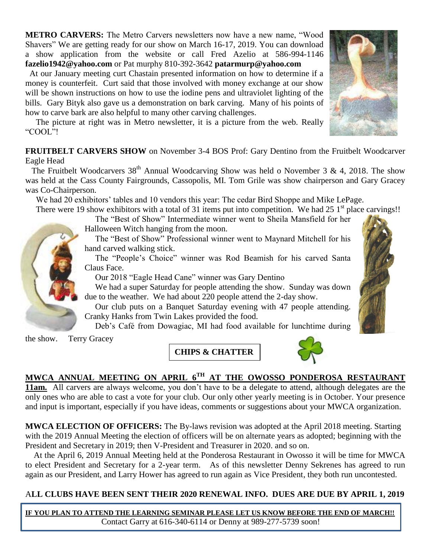**METRO CARVERS:** The Metro Carvers newsletters now have a new name, "Wood Shavers" We are getting ready for our show on March 16-17, 2019. You can download a show application from the website or call Fred Azelio at 586-994-1146 **[fazelio1942@yahoo.com](mailto:fazelio1942@yahoo.com)** or Pat murphy 810-392-3642 **[patarmurp@yahoo.com](mailto:patarmurp@yahoo.com)**

 At our January meeting curt Chastain presented information on how to determine if a money is counterfeit. Curt said that those involved with money exchange at our show will be shown instructions on how to use the iodine pens and ultraviolet lighting of the bills. Gary Bityk also gave us a demonstration on bark carving. Many of his points of how to carve bark are also helpful to many other carving challenges.

 The picture at right was in Metro newsletter, it is a picture from the web. Really "COOL"!

**FRUITBELT CARVERS SHOW** on November 3-4 BOS Prof: Gary Dentino from the Fruitbelt Woodcarver Eagle Head

The Fruitbelt Woodcarvers 38<sup>th</sup> Annual Woodcarving Show was held o November 3 & 4, 2018. The show was held at the Cass County Fairgrounds, Cassopolis, MI. Tom Grile was show chairperson and Gary Gracey was Co-Chairperson.

We had 20 exhibitors' tables and 10 vendors this year: The cedar Bird Shoppe and Mike LePage.

There were 19 show exhibitors with a total of 31 items put into competition. We had 25  $1<sup>st</sup>$  place carvings!!

 The "Best of Show" Intermediate winner went to Sheila Mansfield for her Halloween Witch hanging from the moon.

 The "Best of Show" Professional winner went to Maynard Mitchell for his hand carved walking stick.

 The "People's Choice" winner was Rod Beamish for his carved Santa Claus Face.

Our 2018 "Eagle Head Cane" winner was Gary Dentino

 We had a super Saturday for people attending the show. Sunday was down due to the weather. We had about 220 people attend the 2-day show.

 Our club puts on a Banquet Saturday evening with 47 people attending. Cranky Hanks from Twin Lakes provided the food.

Deb's Café from Dowagiac, MI had food available for lunchtime during

the show. Terry Gracey

**CHIPS & CHATTER**

# **MWCA ANNUAL MEETING ON APRIL 6TH AT THE OWOSSO PONDEROSA RESTAURANT**

**11am.** All carvers are always welcome, you don't have to be a delegate to attend, although delegates are the only ones who are able to cast a vote for your club. Our only other yearly meeting is in October. Your presence and input is important, especially if you have ideas, comments or suggestions about your MWCA organization.

**MWCA ELECTION OF OFFICERS:** The By-laws revision was adopted at the April 2018 meeting. Starting with the 2019 Annual Meeting the election of officers will be on alternate years as adopted; beginning with the President and Secretary in 2019; then V-President and Treasurer in 2020. and so on.

At the April 6, 2019 Annual Meeting held at the Ponderosa Restaurant in Owosso it will be time for MWCA to elect President and Secretary for a 2-year term. As of this newsletter Denny Sekrenes has agreed to run again as our President, and Larry Hower has agreed to run again as Vice President, they both run uncontested.

# A**LL CLUBS HAVE BEEN SENT THEIR 2020 RENEWAL INFO. DUES ARE DUE BY APRIL 1, 2019**

**IF YOU PLAN TO ATTEND THE LEARNING SEMINAR PLEASE LET US KNOW BEFORE THE END OF MARCH!!** Contact Garry at 616-340-6114 or Denny at 989-277-5739 soon!





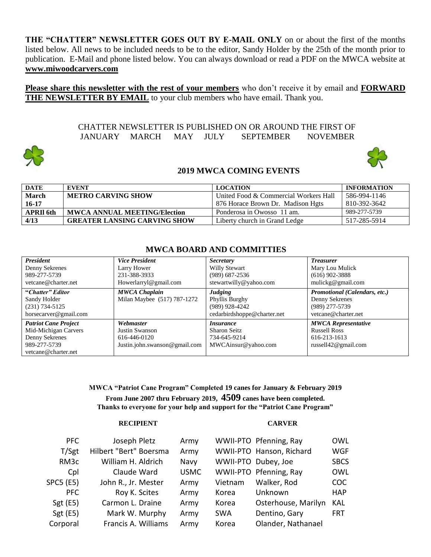**THE "CHATTER" NEWSLETTER GOES OUT BY E-MAIL ONLY** on or about the first of the months listed below. All news to be included needs to be to the editor, Sandy Holder by the 25th of the month prior to publication. E-Mail and phone listed below. You can always download or read a PDF on the MWCA website at **www.miwoodcarvers.com**

**Please share this newsletter with the rest of your members** who don't receive it by email and **FORWARD THE NEWSLETTER BY EMAIL** to your club members who have email. Thank you.

> CHATTER NEWSLETTER IS PUBLISHED ON OR AROUND THE FIRST OF JANUARY MARCH MAY JULY SEPTEMBER NOVEMBER



# **2019 MWCA COMING EVENTS**

| <b>DATE</b>      | EVENT                               | <b>LOCATION</b>                       | <b>INFORMATION</b> |
|------------------|-------------------------------------|---------------------------------------|--------------------|
| <b>March</b>     | <b>METRO CARVING SHOW</b>           | United Food & Commercial Workers Hall | 586-994-1146       |
| $16 - 17$        |                                     | 876 Horace Brown Dr. Madison Hgts     | 810-392-3642       |
| <b>APRII</b> 6th | <b>MWCA ANNUAL MEETING/Election</b> | Ponderosa in Owosso 11 am.            | 989-277-5739       |
| 4/13             | <b>GREATER LANSING CARVING SHOW</b> | Liberty church in Grand Ledge         | 517-285-5914       |

# **MWCA BOARD AND COMMITTIES**

| <b>President</b><br>Denny Sekrenes<br>989-277-5739<br>vetcane@charter.net                                    | <b>Vice President</b><br>Larry Hower<br>231-388-3933<br>Howerlarryl@gmail.com | <i>Secretary</i><br>Willy Stewart<br>$(989)$ 687-2536<br>stewartwilly@yahoo.com   | <b>Treasurer</b><br>Mary Lou Mulick<br>$(616)$ 902-3888<br>mulickg@gmail.com                 |
|--------------------------------------------------------------------------------------------------------------|-------------------------------------------------------------------------------|-----------------------------------------------------------------------------------|----------------------------------------------------------------------------------------------|
| "Chatter" Editor<br>Sandy Holder<br>$(231) 734 - 5125$<br>horsecarver@gmail.com                              | <b>MWCA Chaplain</b><br>Milan Maybee (517) 787-1272                           | <b>Judging</b><br>Phyllis Burghy<br>(989) 928-4242<br>cedarbirdshoppe@charter.net | Promotional (Calendars, etc.)<br>Denny Sekrenes<br>(989) 277-5739<br>vetcane@charter.net     |
| <b>Patriot Cane Project</b><br>Mid-Michigan Carvers<br>Denny Sekrenes<br>989-277-5739<br>vetcane@charter.net | Webmaster<br>Justin Swanson<br>616-446-0120<br>Justin.john.swanson@gmail.com  | <i>Insurance</i><br><b>Sharon Seitz</b><br>734-645-9214<br>MWCAinsur@yahoo.com    | <b>MWCA Representative</b><br><b>Russell Ross</b><br>616-213-1613<br>russell $42@$ gmail.com |

**MWCA "Patriot Cane Program" Completed 19 canes for January & February 2019 From June 2007 thru February 2019, 4509 canes have been completed. Thanks to everyone for your help and support for the "Patriot Cane Program"**

### **RECIPIENT CARVER**

| <b>PFC</b> | Joseph Pletz           | Army        |            | WWII-PTO Pfenning, Ray   | <b>OWL</b>  |
|------------|------------------------|-------------|------------|--------------------------|-------------|
| T/Sgt      | Hilbert "Bert" Boersma | Army        |            | WWII-PTO Hanson, Richard | <b>WGF</b>  |
| RM3c       | William H. Aldrich     | Navy        |            | WWII-PTO Dubey, Joe      | <b>SBCS</b> |
| Cpl        | Claude Ward            | <b>USMC</b> |            | WWII-PTO Pfenning, Ray   | <b>OWL</b>  |
| SPC5 (E5)  | John R., Jr. Mester    | Army        | Vietnam    | Walker, Rod              | <b>COC</b>  |
| <b>PFC</b> | Roy K. Scites          | Army        | Korea      | Unknown                  | <b>HAP</b>  |
| Sgt(E5)    | Carmon L. Draine       | Army        | Korea      | Osterhouse, Marilyn      | <b>KAL</b>  |
| Sgt $(E5)$ | Mark W. Murphy         | Army        | <b>SWA</b> | Dentino, Gary            | <b>FRT</b>  |
| Corporal   | Francis A. Williams    | Army        | Korea      | Olander, Nathanael       |             |